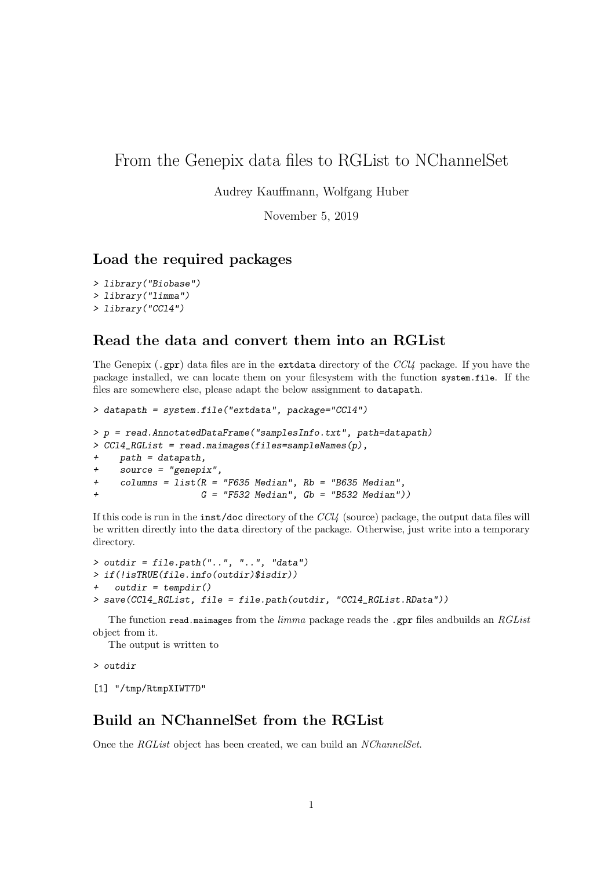## From the Genepix data files to RGList to NChannelSet

Audrey Kauffmann, Wolfgang Huber

November 5, 2019

## Load the required packages

```
> library("Biobase")
> library("limma")
> library("CCl4")
```
## Read the data and convert them into an RGList

The Genepix (.gpr) data files are in the extdata directory of the  $\text{CC}l4$  package. If you have the package installed, we can locate them on your filesystem with the function system.file. If the files are somewhere else, please adapt the below assignment to datapath.

```
> datapath = system.file("extdata", package="CCl4")
> p = read.AnnotatedDataFrame("samplesInfo.txt", path=datapath)
> CCl4_RGList = read.maimages(files=sampleNames(p),
+ path = datapath,
+ source = "genepix",
+ columns = list(R = "F635 Median", Rb = "B635 Median",
                   G = "F532 Median", Gb = "B532 Median")
```
If this code is run in the inst/doc directory of the CCl4 (source) package, the output data files will be written directly into the data directory of the package. Otherwise, just write into a temporary directory.

```
> outdir = file.path("..", "..", "data")
> if(!isTRUE(file.info(outdir)$isdir))
+ outdir = tempdir()
> save(CCl4_RGList, file = file.path(outdir, "CCl4_RGList.RData"))
```
The function read.maimages from the *limma* package reads the .gpr files and builds an  $RGList$ object from it.

The output is written to

> outdir

[1] "/tmp/RtmpXIWT7D"

## Build an NChannelSet from the RGList

Once the RGList object has been created, we can build an NChannelSet.